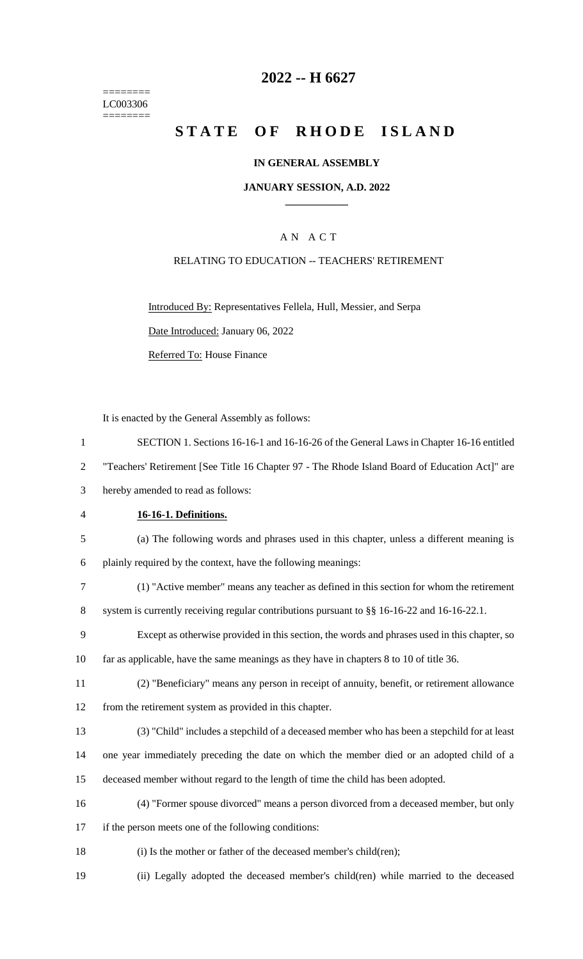======== LC003306 ========

# **2022 -- H 6627**

# **STATE OF RHODE ISLAND**

### **IN GENERAL ASSEMBLY**

### **JANUARY SESSION, A.D. 2022 \_\_\_\_\_\_\_\_\_\_\_\_**

# A N A C T

### RELATING TO EDUCATION -- TEACHERS' RETIREMENT

Introduced By: Representatives Fellela, Hull, Messier, and Serpa Date Introduced: January 06, 2022

Referred To: House Finance

It is enacted by the General Assembly as follows:

 SECTION 1. Sections 16-16-1 and 16-16-26 of the General Laws in Chapter 16-16 entitled "Teachers' Retirement [See Title 16 Chapter 97 - The Rhode Island Board of Education Act]" are hereby amended to read as follows: **16-16-1. Definitions.** (a) The following words and phrases used in this chapter, unless a different meaning is plainly required by the context, have the following meanings: (1) "Active member" means any teacher as defined in this section for whom the retirement 8 system is currently receiving regular contributions pursuant to §§ 16-16-22 and 16-16-22.1. Except as otherwise provided in this section, the words and phrases used in this chapter, so far as applicable, have the same meanings as they have in chapters 8 to 10 of title 36. (2) "Beneficiary" means any person in receipt of annuity, benefit, or retirement allowance from the retirement system as provided in this chapter. (3) "Child" includes a stepchild of a deceased member who has been a stepchild for at least one year immediately preceding the date on which the member died or an adopted child of a deceased member without regard to the length of time the child has been adopted. (4) "Former spouse divorced" means a person divorced from a deceased member, but only if the person meets one of the following conditions: 18 (i) Is the mother or father of the deceased member's child(ren); (ii) Legally adopted the deceased member's child(ren) while married to the deceased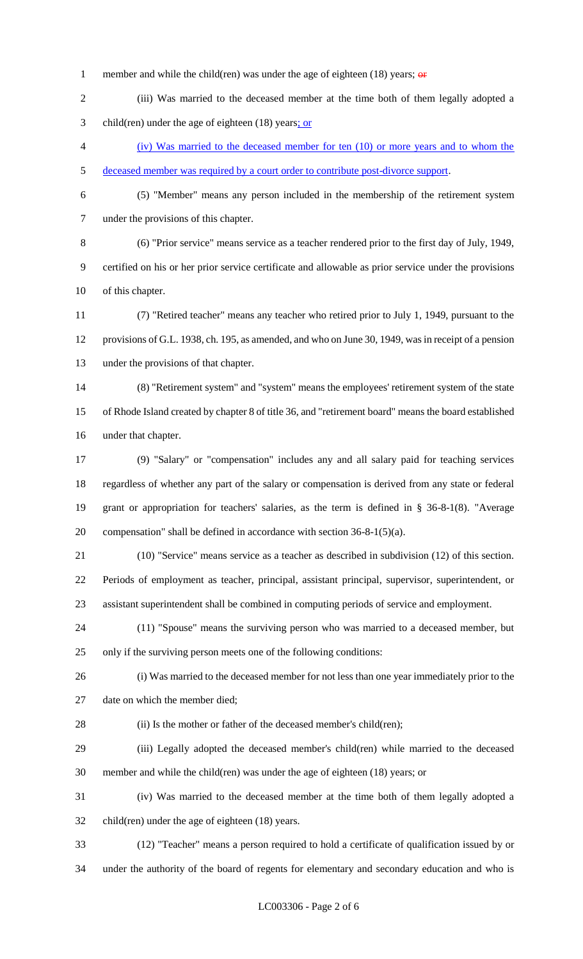- 1 member and while the child(ren) was under the age of eighteen (18) years;  $\theta$
- (iii) Was married to the deceased member at the time both of them legally adopted a 3 child(ren) under the age of eighteen (18) years; or
- (iv) Was married to the deceased member for ten (10) or more years and to whom the deceased member was required by a court order to contribute post-divorce support.
- 

 (5) "Member" means any person included in the membership of the retirement system under the provisions of this chapter.

 (6) "Prior service" means service as a teacher rendered prior to the first day of July, 1949, certified on his or her prior service certificate and allowable as prior service under the provisions of this chapter.

 (7) "Retired teacher" means any teacher who retired prior to July 1, 1949, pursuant to the provisions of G.L. 1938, ch. 195, as amended, and who on June 30, 1949, was in receipt of a pension under the provisions of that chapter.

 (8) "Retirement system" and "system" means the employees' retirement system of the state of Rhode Island created by chapter 8 of title 36, and "retirement board" means the board established under that chapter.

 (9) "Salary" or "compensation" includes any and all salary paid for teaching services regardless of whether any part of the salary or compensation is derived from any state or federal grant or appropriation for teachers' salaries, as the term is defined in § 36-8-1(8). "Average compensation" shall be defined in accordance with section 36-8-1(5)(a).

 (10) "Service" means service as a teacher as described in subdivision (12) of this section. Periods of employment as teacher, principal, assistant principal, supervisor, superintendent, or assistant superintendent shall be combined in computing periods of service and employment.

 (11) "Spouse" means the surviving person who was married to a deceased member, but only if the surviving person meets one of the following conditions:

 (i) Was married to the deceased member for not less than one year immediately prior to the date on which the member died;

28 (ii) Is the mother or father of the deceased member's child(ren);

 (iii) Legally adopted the deceased member's child(ren) while married to the deceased member and while the child(ren) was under the age of eighteen (18) years; or

 (iv) Was married to the deceased member at the time both of them legally adopted a child(ren) under the age of eighteen (18) years.

(12) "Teacher" means a person required to hold a certificate of qualification issued by or

under the authority of the board of regents for elementary and secondary education and who is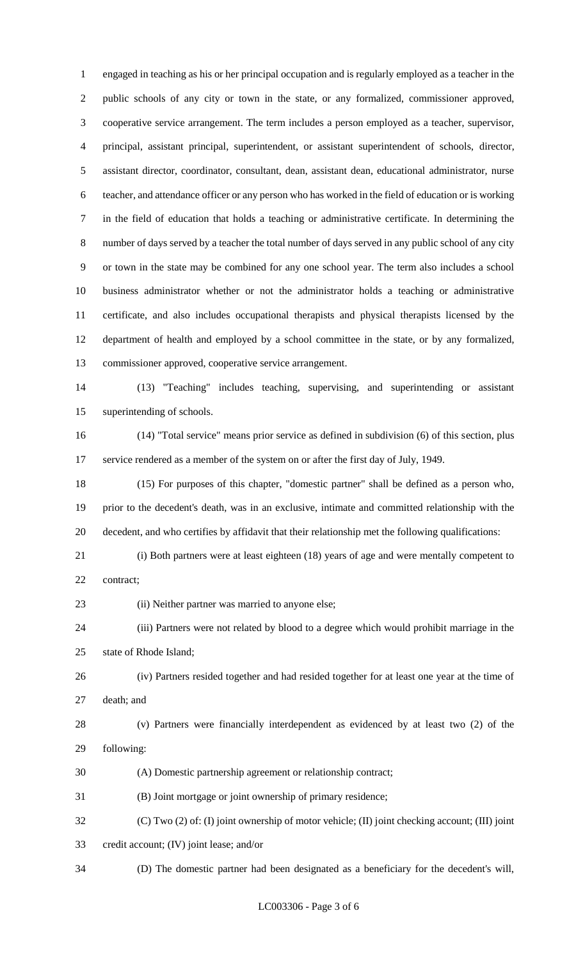engaged in teaching as his or her principal occupation and is regularly employed as a teacher in the public schools of any city or town in the state, or any formalized, commissioner approved, cooperative service arrangement. The term includes a person employed as a teacher, supervisor, principal, assistant principal, superintendent, or assistant superintendent of schools, director, assistant director, coordinator, consultant, dean, assistant dean, educational administrator, nurse teacher, and attendance officer or any person who has worked in the field of education or is working in the field of education that holds a teaching or administrative certificate. In determining the number of days served by a teacher the total number of days served in any public school of any city or town in the state may be combined for any one school year. The term also includes a school business administrator whether or not the administrator holds a teaching or administrative certificate, and also includes occupational therapists and physical therapists licensed by the department of health and employed by a school committee in the state, or by any formalized, commissioner approved, cooperative service arrangement.

 (13) "Teaching" includes teaching, supervising, and superintending or assistant superintending of schools.

 (14) "Total service" means prior service as defined in subdivision (6) of this section, plus service rendered as a member of the system on or after the first day of July, 1949.

 (15) For purposes of this chapter, "domestic partner" shall be defined as a person who, prior to the decedent's death, was in an exclusive, intimate and committed relationship with the decedent, and who certifies by affidavit that their relationship met the following qualifications:

 (i) Both partners were at least eighteen (18) years of age and were mentally competent to contract;

(ii) Neither partner was married to anyone else;

 (iii) Partners were not related by blood to a degree which would prohibit marriage in the state of Rhode Island;

 (iv) Partners resided together and had resided together for at least one year at the time of death; and

 (v) Partners were financially interdependent as evidenced by at least two (2) of the following:

(A) Domestic partnership agreement or relationship contract;

(B) Joint mortgage or joint ownership of primary residence;

(C) Two (2) of: (I) joint ownership of motor vehicle; (II) joint checking account; (III) joint

credit account; (IV) joint lease; and/or

(D) The domestic partner had been designated as a beneficiary for the decedent's will,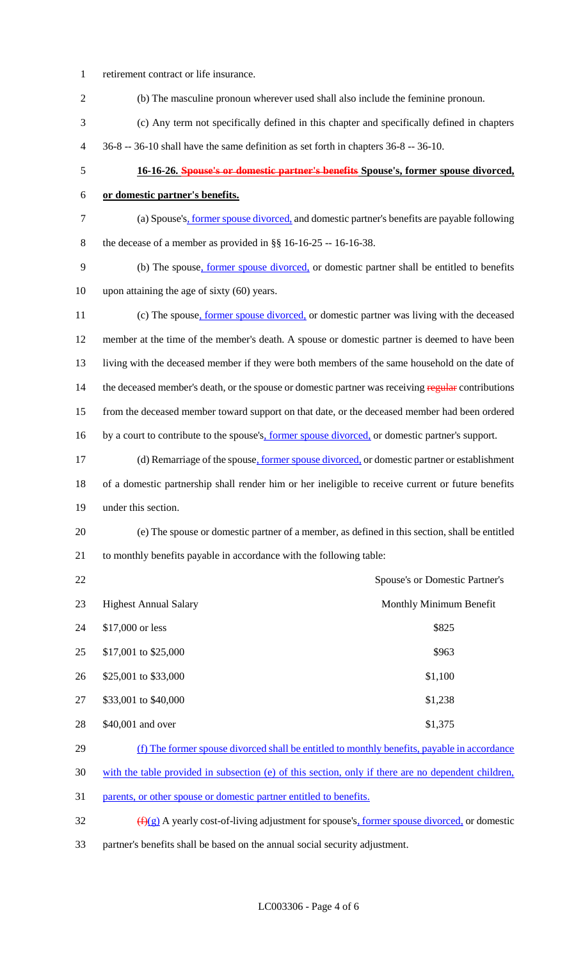| $\mathbf{1}$   | retirement contract or life insurance.                                                              |  |
|----------------|-----------------------------------------------------------------------------------------------------|--|
| $\overline{2}$ | (b) The masculine pronoun wherever used shall also include the feminine pronoun.                    |  |
| 3              | (c) Any term not specifically defined in this chapter and specifically defined in chapters          |  |
| 4              | 36-8 -- 36-10 shall have the same definition as set forth in chapters 36-8 -- 36-10.                |  |
| 5              | 16-16-26. Spouse's or domestic partner's benefits Spouse's, former spouse divorced,                 |  |
| 6              | or domestic partner's benefits.                                                                     |  |
| $\tau$         | (a) Spouse's, former spouse divorced, and domestic partner's benefits are payable following         |  |
| 8              | the decease of a member as provided in $\S$ 16-16-25 -- 16-16-38.                                   |  |
| 9              | (b) The spouse, former spouse divorced, or domestic partner shall be entitled to benefits           |  |
| 10             | upon attaining the age of sixty $(60)$ years.                                                       |  |
| 11             | (c) The spouse, former spouse divorced, or domestic partner was living with the deceased            |  |
| 12             | member at the time of the member's death. A spouse or domestic partner is deemed to have been       |  |
| 13             | living with the deceased member if they were both members of the same household on the date of      |  |
| 14             | the deceased member's death, or the spouse or domestic partner was receiving regular contributions  |  |
| 15             | from the deceased member toward support on that date, or the deceased member had been ordered       |  |
| 16             | by a court to contribute to the spouse's, former spouse divorced, or domestic partner's support.    |  |
| 17             | (d) Remarriage of the spouse, former spouse divorced, or domestic partner or establishment          |  |
| 18             | of a domestic partnership shall render him or her ineligible to receive current or future benefits  |  |
| 19             | under this section.                                                                                 |  |
| 20             | (e) The spouse or domestic partner of a member, as defined in this section, shall be entitled       |  |
| 21             | to monthly benefits payable in accordance with the following table:                                 |  |
| 22             | Spouse's or Domestic Partner's                                                                      |  |
| 23             | <b>Highest Annual Salary</b><br>Monthly Minimum Benefit                                             |  |
| 24             | \$17,000 or less<br>\$825                                                                           |  |
| 25             | \$17,001 to \$25,000<br>\$963                                                                       |  |
| 26             | \$25,001 to \$33,000<br>\$1,100                                                                     |  |
| 27             | \$33,001 to \$40,000<br>\$1,238                                                                     |  |
| 28             | \$40,001 and over<br>\$1,375                                                                        |  |
| 29             | (f) The former spouse divorced shall be entitled to monthly benefits, payable in accordance         |  |
| 30             | with the table provided in subsection (e) of this section, only if there are no dependent children, |  |
| 31             | parents, or other spouse or domestic partner entitled to benefits.                                  |  |
|                |                                                                                                     |  |

32 (f)(g) A yearly cost-of-living adjustment for spouse's, former spouse divorced, or domestic partner's benefits shall be based on the annual social security adjustment.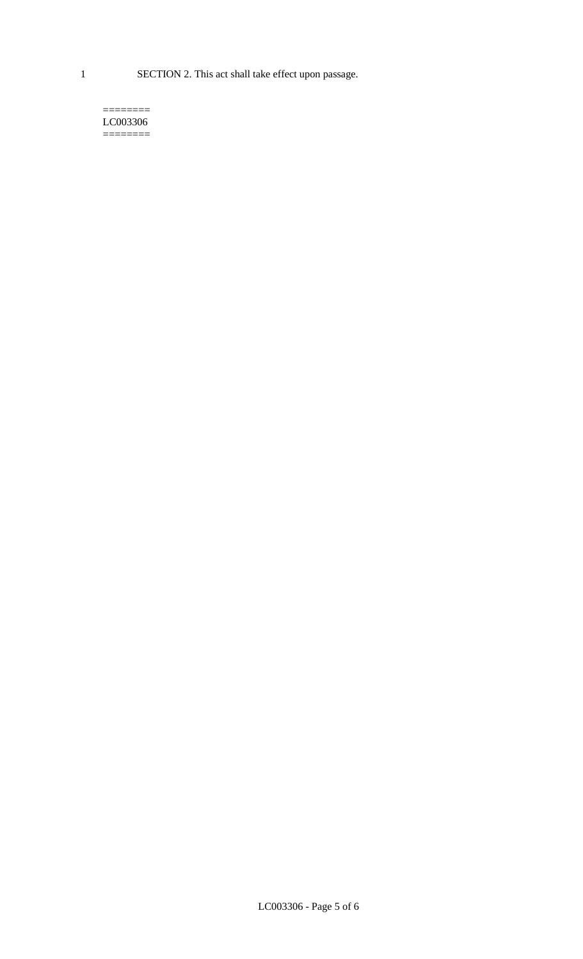1 SECTION 2. This act shall take effect upon passage.

#### $=$ LC003306 ========